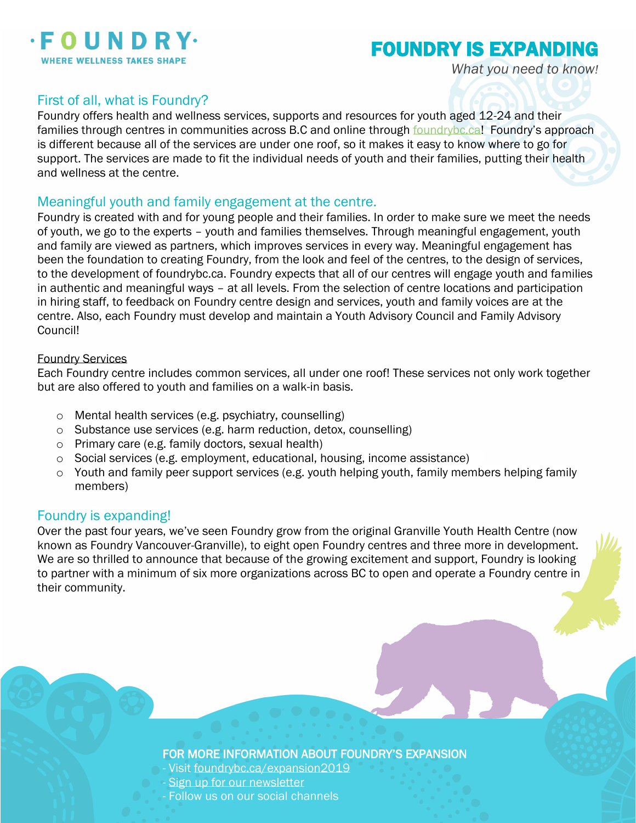

# FOUNDRY IS EXPANDING

*What you need to know!*

## First of all, what is Foundry?

Foundry offers health and wellness services, supports and resources for youth aged 12-24 and their families through centres in communities across B.C and online through<foundrybc.ca>! Foundry's approach is different because all of the services are under one roof, so it makes it easy to know where to go for support. The services are made to fit the individual needs of youth and their families, putting their health and wellness at the centre.

#### Meaningful youth and family engagement at the centre.

Foundry is created with and for young people and their families. In order to make sure we meet the needs of youth, we go to the experts – youth and families themselves. Through meaningful engagement, youth and family are viewed as partners, which improves services in every way. Meaningful engagement has been the foundation to creating Foundry, from the look and feel of the centres, to the design of services, to the development of foundrybc.ca. Foundry expects that all of our centres will engage youth and families in authentic and meaningful ways – at all levels. From the selection of centre locations and participation in hiring staff, to feedback on Foundry centre design and services, youth and family voices are at the centre. Also, each Foundry must develop and maintain a Youth Advisory Council and Family Advisory Council!

#### Foundry Services

Each Foundry centre includes common services, all under one roof! These services not only work together but are also offered to youth and families on a walk-in basis.

- o Mental health services (e.g. psychiatry, counselling)
- o Substance use services (e.g. harm reduction, detox, counselling)
- o Primary care (e.g. family doctors, sexual health)
- o Social services (e.g. employment, educational, housing, income assistance)
- o Youth and family peer support services (e.g. youth helping youth, family members helping family members)

## Foundry is expanding!

Over the past four years, we've seen Foundry grow from the original Granville Youth Health Centre (now known as Foundry Vancouver-Granville), to eight open Foundry centres and three more in development. We are so thrilled to announce that because of the growing excitement and support, Foundry is looking to partner with a minimum of six more organizations across BC to open and operate a Foundry centre in their community.

FOR MORE INFORMATION ABOUT FOUNDRY'S EXPANSION

- Visit<foundrybc.ca/expansion2019>
- [Sign up for our newsletter](https://foundrybc.ca/newsletter-signup/)
- Follow us on our social channels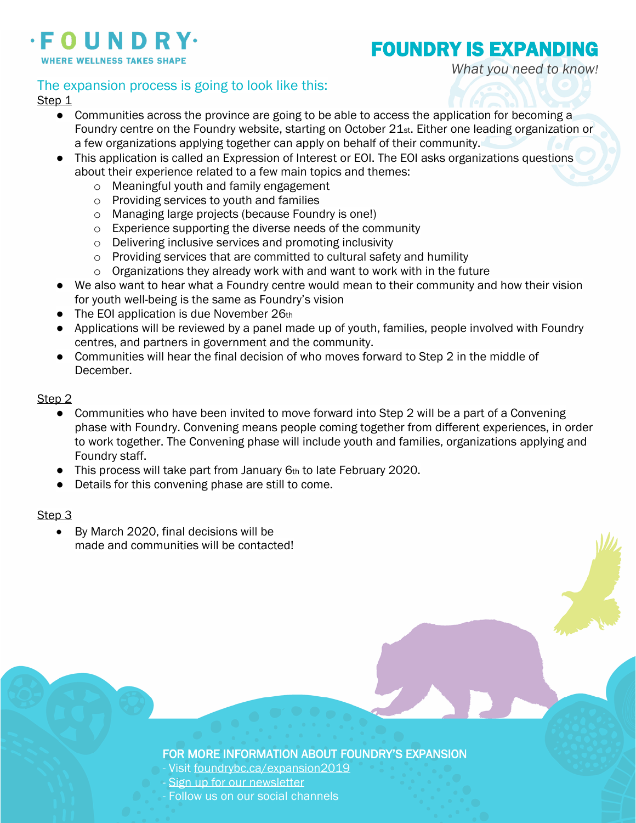

# FOUNDRY IS EXPANDING

*What you need to know!*

# The expansion process is going to look like this:

#### Step<sub>1</sub>

- Communities across the province are going to be able to access the application for becoming a Foundry centre on the Foundry website, starting on October 21st. Either one leading organization or a few organizations applying together can apply on behalf of their community.
- This application is called an Expression of Interest or EOI. The EOI asks organizations questions about their experience related to a few main topics and themes:
	- o Meaningful youth and family engagement
	- o Providing services to youth and families
	- o Managing large projects (because Foundry is one!)
	- o Experience supporting the diverse needs of the community
	- o Delivering inclusive services and promoting inclusivity
	- o Providing services that are committed to cultural safety and humility
	- $\circ$  Organizations they already work with and want to work with in the future
- We also want to hear what a Foundry centre would mean to their community and how their vision for youth well-being is the same as Foundry's vision
- The EOI application is due November 26th
- Applications will be reviewed by a panel made up of youth, families, people involved with Foundry centres, and partners in government and the community.
- Communities will hear the final decision of who moves forward to Step 2 in the middle of December.

#### Step<sub>2</sub>

- Communities who have been invited to move forward into Step 2 will be a part of a Convening phase with Foundry. Convening means people coming together from different experiences, in order to work together. The Convening phase will include youth and families, organizations applying and Foundry staff.
- This process will take part from January 6th to late February 2020.
- Details for this convening phase are still to come.

#### Step 3

• By March 2020, final decisions will be made and communities will be contacted!

## FOR MORE INFORMATION ABOUT FOUNDRY'S EXPANSION

- Visit<foundrybc.ca/expansion2019>
- [Sign up for our newsletter](https://foundrybc.ca/newsletter-signup/)
- Follow us on our social channels